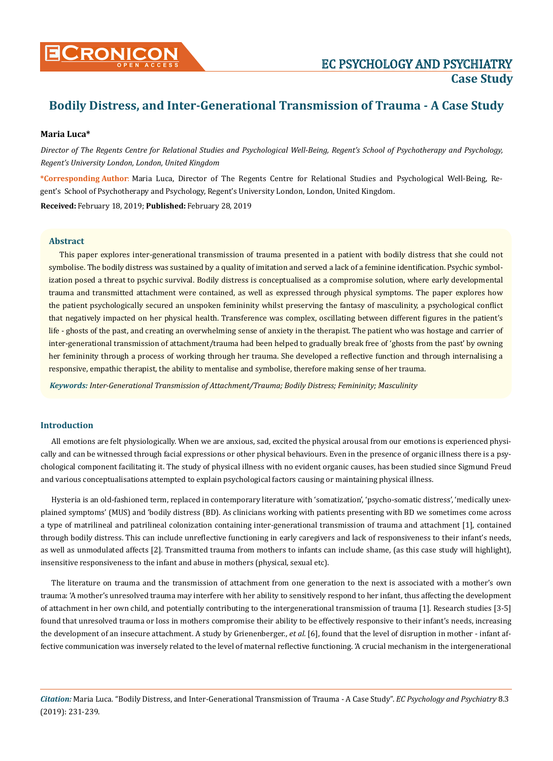

## **Maria Luca\***

*Director of The Regents Centre for Relational Studies and Psychological Well-Being, Regent's School of Psychotherapy and Psychology, Regent's University London, London, United Kingdom*

**\*Corresponding Author**: Maria Luca, Director of The Regents Centre for Relational Studies and Psychological Well-Being, Regent's School of Psychotherapy and Psychology, Regent's University London, London, United Kingdom.

**Received:** February 18, 2019; **Published:** February 28, 2019

## **Abstract**

This paper explores inter-generational transmission of trauma presented in a patient with bodily distress that she could not symbolise. The bodily distress was sustained by a quality of imitation and served a lack of a feminine identification. Psychic symbolization posed a threat to psychic survival. Bodily distress is conceptualised as a compromise solution, where early developmental trauma and transmitted attachment were contained, as well as expressed through physical symptoms. The paper explores how the patient psychologically secured an unspoken femininity whilst preserving the fantasy of masculinity, a psychological conflict that negatively impacted on her physical health. Transference was complex, oscillating between different figures in the patient's life - ghosts of the past, and creating an overwhelming sense of anxiety in the therapist. The patient who was hostage and carrier of inter-generational transmission of attachment/trauma had been helped to gradually break free of 'ghosts from the past' by owning her femininity through a process of working through her trauma. She developed a reflective function and through internalising a responsive, empathic therapist, the ability to mentalise and symbolise, therefore making sense of her trauma.

*Keywords: Inter-Generational Transmission of Attachment/Trauma; Bodily Distress; Femininity; Masculinity*

## **Introduction**

All emotions are felt physiologically. When we are anxious, sad, excited the physical arousal from our emotions is experienced physically and can be witnessed through facial expressions or other physical behaviours. Even in the presence of organic illness there is a psychological component facilitating it. The study of physical illness with no evident organic causes, has been studied since Sigmund Freud and various conceptualisations attempted to explain psychological factors causing or maintaining physical illness.

Hysteria is an old-fashioned term, replaced in contemporary literature with 'somatization', 'psycho-somatic distress', 'medically unexplained symptoms' (MUS) and 'bodily distress (BD). As clinicians working with patients presenting with BD we sometimes come across a type of matrilineal and patrilineal colonization containing inter-generational transmission of trauma and attachment [1], contained through bodily distress. This can include unreflective functioning in early caregivers and lack of responsiveness to their infant's needs, as well as unmodulated affects [2]. Transmitted trauma from mothers to infants can include shame, (as this case study will highlight), insensitive responsiveness to the infant and abuse in mothers (physical, sexual etc).

The literature on trauma and the transmission of attachment from one generation to the next is associated with a mother's own trauma: 'A mother's unresolved trauma may interfere with her ability to sensitively respond to her infant, thus affecting the development of attachment in her own child, and potentially contributing to the intergenerational transmission of trauma [1]. Research studies [3-5] found that unresolved trauma or loss in mothers compromise their ability to be effectively responsive to their infant's needs, increasing the development of an insecure attachment. A study by Grienenberger., *et al.* [6], found that the level of disruption in mother - infant affective communication was inversely related to the level of maternal reflective functioning. 'A crucial mechanism in the intergenerational

*Citation:* Maria Luca*.* "Bodily Distress, and Inter-Generational Transmission of Trauma - A Case Study". *EC Psychology and Psychiatry* 8.3 (2019): 231-239.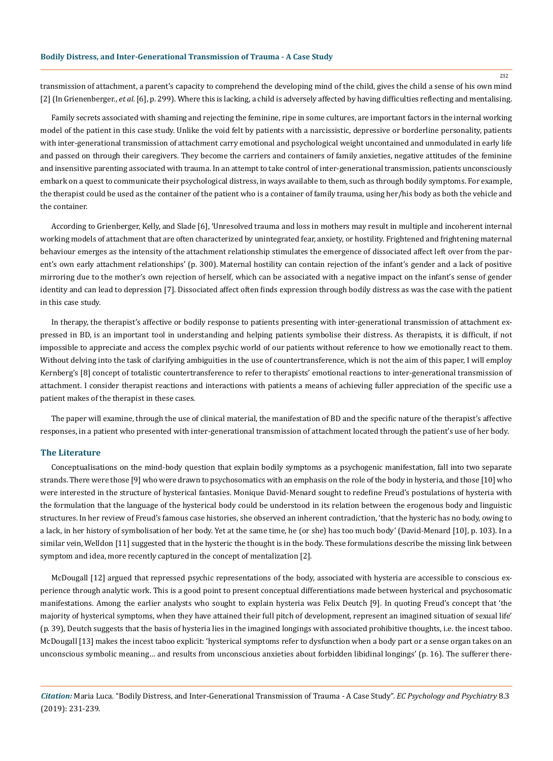transmission of attachment, a parent's capacity to comprehend the developing mind of the child, gives the child a sense of his own mind [2] (In Grienenberger., *et al.* [6], p. 299). Where this is lacking, a child is adversely affected by having difficulties reflecting and mentalising.

Family secrets associated with shaming and rejecting the feminine, ripe in some cultures, are important factors in the internal working model of the patient in this case study. Unlike the void felt by patients with a narcissistic, depressive or borderline personality, patients with inter-generational transmission of attachment carry emotional and psychological weight uncontained and unmodulated in early life and passed on through their caregivers. They become the carriers and containers of family anxieties, negative attitudes of the feminine and insensitive parenting associated with trauma. In an attempt to take control of inter-generational transmission, patients unconsciously embark on a quest to communicate their psychological distress, in ways available to them, such as through bodily symptoms. For example, the therapist could be used as the container of the patient who is a container of family trauma, using her/his body as both the vehicle and the container.

According to Grienberger, Kelly, and Slade [6], 'Unresolved trauma and loss in mothers may result in multiple and incoherent internal working models of attachment that are often characterized by unintegrated fear, anxiety, or hostility. Frightened and frightening maternal behaviour emerges as the intensity of the attachment relationship stimulates the emergence of dissociated affect left over from the parent's own early attachment relationships' (p. 300). Maternal hostility can contain rejection of the infant's gender and a lack of positive mirroring due to the mother's own rejection of herself, which can be associated with a negative impact on the infant's sense of gender identity and can lead to depression [7]. Dissociated affect often finds expression through bodily distress as was the case with the patient in this case study.

In therapy, the therapist's affective or bodily response to patients presenting with inter-generational transmission of attachment expressed in BD, is an important tool in understanding and helping patients symbolise their distress. As therapists, it is difficult, if not impossible to appreciate and access the complex psychic world of our patients without reference to how we emotionally react to them. Without delving into the task of clarifying ambiguities in the use of countertransference, which is not the aim of this paper, I will employ Kernberg's [8] concept of totalistic countertransference to refer to therapists' emotional reactions to inter-generational transmission of attachment. I consider therapist reactions and interactions with patients a means of achieving fuller appreciation of the specific use a patient makes of the therapist in these cases.

The paper will examine, through the use of clinical material, the manifestation of BD and the specific nature of the therapist's affective responses, in a patient who presented with inter-generational transmission of attachment located through the patient's use of her body.

## **The Literature**

Conceptualisations on the mind-body question that explain bodily symptoms as a psychogenic manifestation, fall into two separate strands. There were those [9] who were drawn to psychosomatics with an emphasis on the role of the body in hysteria, and those [10] who were interested in the structure of hysterical fantasies. Monique David-Menard sought to redefine Freud's postulations of hysteria with the formulation that the language of the hysterical body could be understood in its relation between the erogenous body and linguistic structures. In her review of Freud's famous case histories, she observed an inherent contradiction, 'that the hysteric has no body, owing to a lack, in her history of symbolisation of her body. Yet at the same time, he (or she) has too much body' (David-Menard [10], p. 103). In a similar vein, Welldon [11] suggested that in the hysteric the thought is in the body. These formulations describe the missing link between symptom and idea, more recently captured in the concept of mentalization [2].

McDougall [12] argued that repressed psychic representations of the body, associated with hysteria are accessible to conscious experience through analytic work. This is a good point to present conceptual differentiations made between hysterical and psychosomatic manifestations. Among the earlier analysts who sought to explain hysteria was Felix Deutch [9]. In quoting Freud's concept that 'the majority of hysterical symptoms, when they have attained their full pitch of development, represent an imagined situation of sexual life' (p. 39), Deutch suggests that the basis of hysteria lies in the imagined longings with associated prohibitive thoughts, i.e. the incest taboo. McDougall [13] makes the incest taboo explicit: 'hysterical symptoms refer to dysfunction when a body part or a sense organ takes on an unconscious symbolic meaning… and results from unconscious anxieties about forbidden libidinal longings' (p. 16). The sufferer there-

*Citation:* Maria Luca*.* "Bodily Distress, and Inter-Generational Transmission of Trauma - A Case Study". *EC Psychology and Psychiatry* 8.3 (2019): 231-239.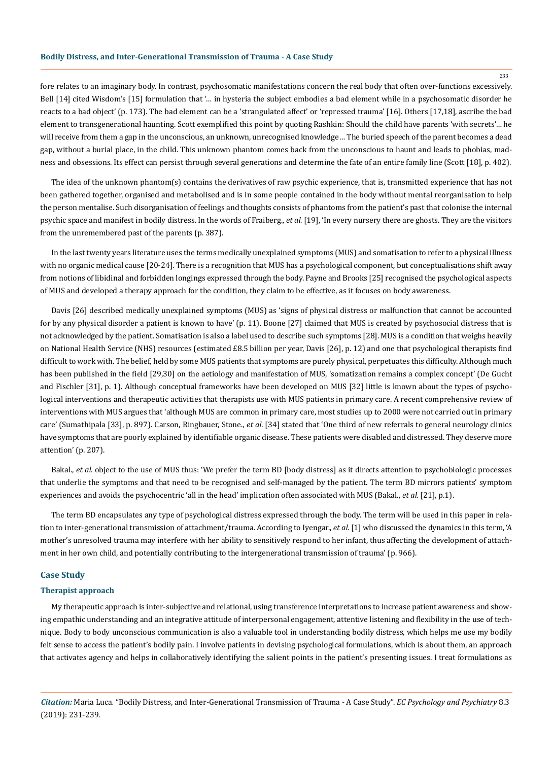fore relates to an imaginary body. In contrast, psychosomatic manifestations concern the real body that often over-functions excessively. Bell [14] cited Wisdom's [15] formulation that '… in hysteria the subject embodies a bad element while in a psychosomatic disorder he reacts to a bad object' (p. 173). The bad element can be a 'strangulated affect' or 'repressed trauma' [16]. Others [17,18], ascribe the bad element to transgenerational haunting. Scott exemplified this point by quoting Rashkin: Should the child have parents 'with secrets'… he will receive from them a gap in the unconscious, an unknown, unrecognised knowledge… The buried speech of the parent becomes a dead gap, without a burial place, in the child. This unknown phantom comes back from the unconscious to haunt and leads to phobias, madness and obsessions. Its effect can persist through several generations and determine the fate of an entire family line (Scott [18], p. 402).

The idea of the unknown phantom(s) contains the derivatives of raw psychic experience, that is, transmitted experience that has not been gathered together, organised and metabolised and is in some people contained in the body without mental reorganisation to help the person mentalise. Such disorganisation of feelings and thoughts consists of phantoms from the patient's past that colonise the internal psychic space and manifest in bodily distress. In the words of Fraiberg., *et al.* [19], 'In every nursery there are ghosts. They are the visitors from the unremembered past of the parents (p. 387).

In the last twenty years literature uses the terms medically unexplained symptoms (MUS) and somatisation to refer to a physical illness with no organic medical cause [20-24]. There is a recognition that MUS has a psychological component, but conceptualisations shift away from notions of libidinal and forbidden longings expressed through the body. Payne and Brooks [25] recognised the psychological aspects of MUS and developed a therapy approach for the condition, they claim to be effective, as it focuses on body awareness.

Davis [26] described medically unexplained symptoms (MUS) as 'signs of physical distress or malfunction that cannot be accounted for by any physical disorder a patient is known to have' (p. 11). Boone [27] claimed that MUS is created by psychosocial distress that is not acknowledged by the patient. Somatisation is also a label used to describe such symptoms [28]. MUS is a condition that weighs heavily on National Health Service (NHS) resources (estimated £8.5 billion per year, Davis [26], p. 12) and one that psychological therapists find difficult to work with. The belief, held by some MUS patients that symptoms are purely physical, perpetuates this difficulty. Although much has been published in the field [29,30] on the aetiology and manifestation of MUS, 'somatization remains a complex concept' (De Gucht and Fischler [31], p. 1). Although conceptual frameworks have been developed on MUS [32] little is known about the types of psychological interventions and therapeutic activities that therapists use with MUS patients in primary care. A recent comprehensive review of interventions with MUS argues that 'although MUS are common in primary care, most studies up to 2000 were not carried out in primary care' (Sumathipala [33], p. 897). Carson, Ringbauer, Stone., *et al.* [34] stated that 'One third of new referrals to general neurology clinics have symptoms that are poorly explained by identifiable organic disease. These patients were disabled and distressed. They deserve more attention' (p. 207).

Bakal., *et al.* object to the use of MUS thus: 'We prefer the term BD [body distress] as it directs attention to psychobiologic processes that underlie the symptoms and that need to be recognised and self-managed by the patient. The term BD mirrors patients' symptom experiences and avoids the psychocentric 'all in the head' implication often associated with MUS (Bakal., *et al.* [21], p.1).

The term BD encapsulates any type of psychological distress expressed through the body. The term will be used in this paper in relation to inter-generational transmission of attachment/trauma. According to Iyengar., *et al.* [1] who discussed the dynamics in this term, 'A mother's unresolved trauma may interfere with her ability to sensitively respond to her infant, thus affecting the development of attachment in her own child, and potentially contributing to the intergenerational transmission of trauma' (p. 966).

#### **Case Study**

#### **Therapist approach**

My therapeutic approach is inter-subjective and relational, using transference interpretations to increase patient awareness and showing empathic understanding and an integrative attitude of interpersonal engagement, attentive listening and flexibility in the use of technique. Body to body unconscious communication is also a valuable tool in understanding bodily distress, which helps me use my bodily felt sense to access the patient's bodily pain. I involve patients in devising psychological formulations, which is about them, an approach that activates agency and helps in collaboratively identifying the salient points in the patient's presenting issues. I treat formulations as

*Citation:* Maria Luca*.* "Bodily Distress, and Inter-Generational Transmission of Trauma - A Case Study". *EC Psychology and Psychiatry* 8.3 (2019): 231-239.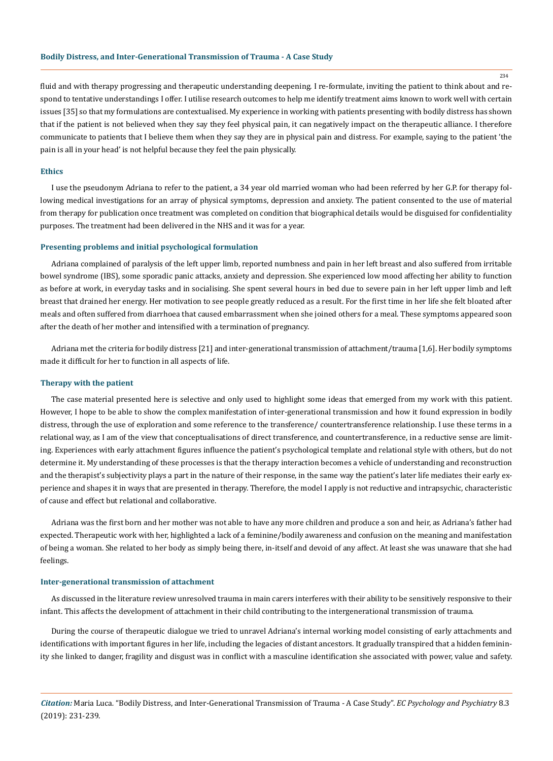234

fluid and with therapy progressing and therapeutic understanding deepening. I re-formulate, inviting the patient to think about and respond to tentative understandings I offer. I utilise research outcomes to help me identify treatment aims known to work well with certain issues [35] so that my formulations are contextualised. My experience in working with patients presenting with bodily distress has shown that if the patient is not believed when they say they feel physical pain, it can negatively impact on the therapeutic alliance. I therefore communicate to patients that I believe them when they say they are in physical pain and distress. For example, saying to the patient 'the pain is all in your head' is not helpful because they feel the pain physically.

## **Ethics**

I use the pseudonym Adriana to refer to the patient, a 34 year old married woman who had been referred by her G.P. for therapy following medical investigations for an array of physical symptoms, depression and anxiety. The patient consented to the use of material from therapy for publication once treatment was completed on condition that biographical details would be disguised for confidentiality purposes. The treatment had been delivered in the NHS and it was for a year.

#### **Presenting problems and initial psychological formulation**

Adriana complained of paralysis of the left upper limb, reported numbness and pain in her left breast and also suffered from irritable bowel syndrome (IBS), some sporadic panic attacks, anxiety and depression. She experienced low mood affecting her ability to function as before at work, in everyday tasks and in socialising. She spent several hours in bed due to severe pain in her left upper limb and left breast that drained her energy. Her motivation to see people greatly reduced as a result. For the first time in her life she felt bloated after meals and often suffered from diarrhoea that caused embarrassment when she joined others for a meal. These symptoms appeared soon after the death of her mother and intensified with a termination of pregnancy.

Adriana met the criteria for bodily distress [21] and inter-generational transmission of attachment/trauma [1,6]. Her bodily symptoms made it difficult for her to function in all aspects of life.

#### **Therapy with the patient**

The case material presented here is selective and only used to highlight some ideas that emerged from my work with this patient. However, I hope to be able to show the complex manifestation of inter-generational transmission and how it found expression in bodily distress, through the use of exploration and some reference to the transference/ countertransference relationship. I use these terms in a relational way, as I am of the view that conceptualisations of direct transference, and countertransference, in a reductive sense are limiting. Experiences with early attachment figures influence the patient's psychological template and relational style with others, but do not determine it. My understanding of these processes is that the therapy interaction becomes a vehicle of understanding and reconstruction and the therapist's subjectivity plays a part in the nature of their response, in the same way the patient's later life mediates their early experience and shapes it in ways that are presented in therapy. Therefore, the model I apply is not reductive and intrapsychic, characteristic of cause and effect but relational and collaborative.

Adriana was the first born and her mother was not able to have any more children and produce a son and heir, as Adriana's father had expected. Therapeutic work with her, highlighted a lack of a feminine/bodily awareness and confusion on the meaning and manifestation of being a woman. She related to her body as simply being there, in-itself and devoid of any affect. At least she was unaware that she had feelings.

## **Inter-generational transmission of attachment**

As discussed in the literature review unresolved trauma in main carers interferes with their ability to be sensitively responsive to their infant. This affects the development of attachment in their child contributing to the intergenerational transmission of trauma.

During the course of therapeutic dialogue we tried to unravel Adriana's internal working model consisting of early attachments and identifications with important figures in her life, including the legacies of distant ancestors. It gradually transpired that a hidden femininity she linked to danger, fragility and disgust was in conflict with a masculine identification she associated with power, value and safety.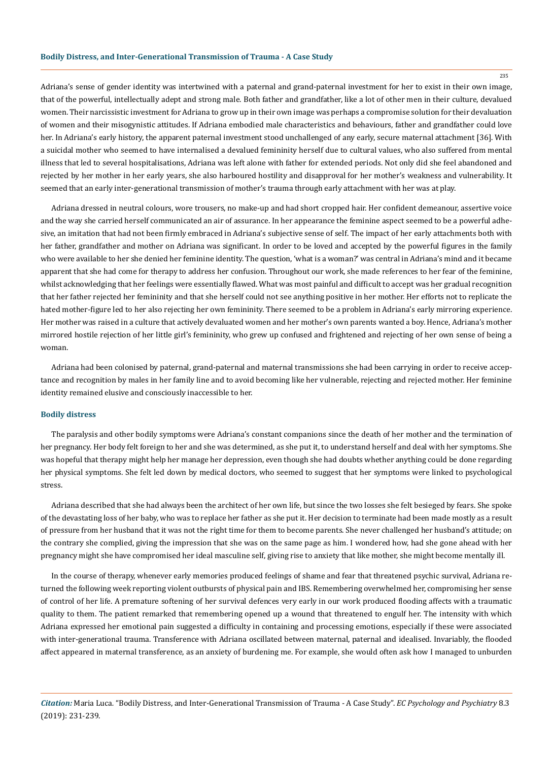Adriana's sense of gender identity was intertwined with a paternal and grand-paternal investment for her to exist in their own image, that of the powerful, intellectually adept and strong male. Both father and grandfather, like a lot of other men in their culture, devalued women. Their narcissistic investment for Adriana to grow up in their own image was perhaps a compromise solution for their devaluation of women and their misogynistic attitudes. If Adriana embodied male characteristics and behaviours, father and grandfather could love her. In Adriana's early history, the apparent paternal investment stood unchallenged of any early, secure maternal attachment [36]. With a suicidal mother who seemed to have internalised a devalued femininity herself due to cultural values, who also suffered from mental illness that led to several hospitalisations, Adriana was left alone with father for extended periods. Not only did she feel abandoned and rejected by her mother in her early years, she also harboured hostility and disapproval for her mother's weakness and vulnerability. It seemed that an early inter-generational transmission of mother's trauma through early attachment with her was at play.

Adriana dressed in neutral colours, wore trousers, no make-up and had short cropped hair. Her confident demeanour, assertive voice and the way she carried herself communicated an air of assurance. In her appearance the feminine aspect seemed to be a powerful adhesive, an imitation that had not been firmly embraced in Adriana's subjective sense of self. The impact of her early attachments both with her father, grandfather and mother on Adriana was significant. In order to be loved and accepted by the powerful figures in the family who were available to her she denied her feminine identity. The question, 'what is a woman?' was central in Adriana's mind and it became apparent that she had come for therapy to address her confusion. Throughout our work, she made references to her fear of the feminine, whilst acknowledging that her feelings were essentially flawed. What was most painful and difficult to accept was her gradual recognition that her father rejected her femininity and that she herself could not see anything positive in her mother. Her efforts not to replicate the hated mother-figure led to her also rejecting her own femininity. There seemed to be a problem in Adriana's early mirroring experience. Her mother was raised in a culture that actively devaluated women and her mother's own parents wanted a boy. Hence, Adriana's mother mirrored hostile rejection of her little girl's femininity, who grew up confused and frightened and rejecting of her own sense of being a woman.

Adriana had been colonised by paternal, grand-paternal and maternal transmissions she had been carrying in order to receive acceptance and recognition by males in her family line and to avoid becoming like her vulnerable, rejecting and rejected mother. Her feminine identity remained elusive and consciously inaccessible to her.

#### **Bodily distress**

The paralysis and other bodily symptoms were Adriana's constant companions since the death of her mother and the termination of her pregnancy. Her body felt foreign to her and she was determined, as she put it, to understand herself and deal with her symptoms. She was hopeful that therapy might help her manage her depression, even though she had doubts whether anything could be done regarding her physical symptoms. She felt led down by medical doctors, who seemed to suggest that her symptoms were linked to psychological stress.

Adriana described that she had always been the architect of her own life, but since the two losses she felt besieged by fears. She spoke of the devastating loss of her baby, who was to replace her father as she put it. Her decision to terminate had been made mostly as a result of pressure from her husband that it was not the right time for them to become parents. She never challenged her husband's attitude; on the contrary she complied, giving the impression that she was on the same page as him. I wondered how, had she gone ahead with her pregnancy might she have compromised her ideal masculine self, giving rise to anxiety that like mother, she might become mentally ill.

In the course of therapy, whenever early memories produced feelings of shame and fear that threatened psychic survival, Adriana returned the following week reporting violent outbursts of physical pain and IBS. Remembering overwhelmed her, compromising her sense of control of her life. A premature softening of her survival defences very early in our work produced flooding affects with a traumatic quality to them. The patient remarked that remembering opened up a wound that threatened to engulf her. The intensity with which Adriana expressed her emotional pain suggested a difficulty in containing and processing emotions, especially if these were associated with inter-generational trauma. Transference with Adriana oscillated between maternal, paternal and idealised. Invariably, the flooded affect appeared in maternal transference, as an anxiety of burdening me. For example, she would often ask how I managed to unburden

*Citation:* Maria Luca*.* "Bodily Distress, and Inter-Generational Transmission of Trauma - A Case Study". *EC Psychology and Psychiatry* 8.3 (2019): 231-239.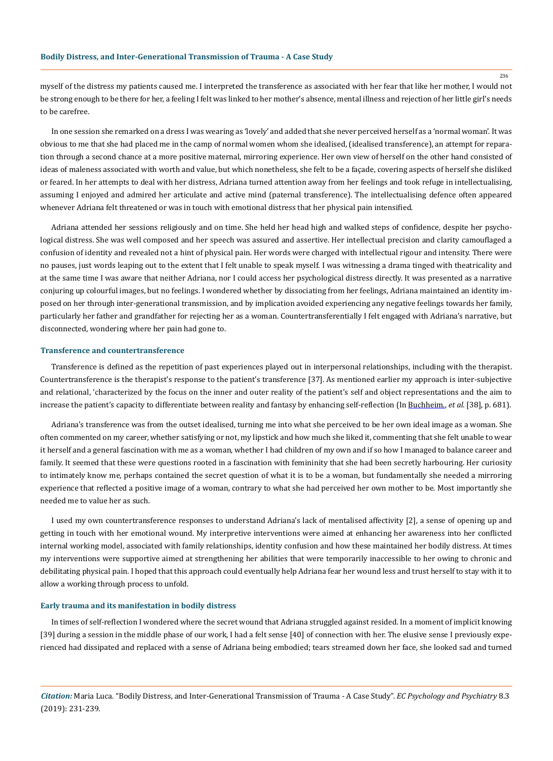myself of the distress my patients caused me. I interpreted the transference as associated with her fear that like her mother, I would not be strong enough to be there for her, a feeling I felt was linked to her mother's absence, mental illness and rejection of her little girl's needs to be carefree.

In one session she remarked on a dress I was wearing as 'lovely' and added that she never perceived herself as a 'normal woman'. It was obvious to me that she had placed me in the camp of normal women whom she idealised, (idealised transference), an attempt for reparation through a second chance at a more positive maternal, mirroring experience. Her own view of herself on the other hand consisted of ideas of maleness associated with worth and value, but which nonetheless, she felt to be a façade, covering aspects of herself she disliked or feared. In her attempts to deal with her distress, Adriana turned attention away from her feelings and took refuge in intellectualising, assuming I enjoyed and admired her articulate and active mind (paternal transference). The intellectualising defence often appeared whenever Adriana felt threatened or was in touch with emotional distress that her physical pain intensified.

Adriana attended her sessions religiously and on time. She held her head high and walked steps of confidence, despite her psychological distress. She was well composed and her speech was assured and assertive. Her intellectual precision and clarity camouflaged a confusion of identity and revealed not a hint of physical pain. Her words were charged with intellectual rigour and intensity. There were no pauses, just words leaping out to the extent that I felt unable to speak myself. I was witnessing a drama tinged with theatricality and at the same time I was aware that neither Adriana, nor I could access her psychological distress directly. It was presented as a narrative conjuring up colourful images, but no feelings. I wondered whether by dissociating from her feelings, Adriana maintained an identity imposed on her through inter-generational transmission, and by implication avoided experiencing any negative feelings towards her family, particularly her father and grandfather for rejecting her as a woman. Countertransferentially I felt engaged with Adriana's narrative, but disconnected, wondering where her pain had gone to.

#### **Transference and countertransference**

Transference is defined as the repetition of past experiences played out in interpersonal relationships, including with the therapist. Countertransference is the therapist's response to the patient's transference [37]. As mentioned earlier my approach is inter-subjective and relational, 'characterized by the focus on the inner and outer reality of the patient's self and object representations and the aim to increase the patient's capacity to differentiate between reality and fantasy by enhancing self-reflection (In [Buchheim](https://www.ncbi.nlm.nih.gov/pubmed/?term=Buchheim%20A%5BAuthor%5D&cauthor=true&cauthor_uid=24167481)., *et al.* [38], p. 681).

Adriana's transference was from the outset idealised, turning me into what she perceived to be her own ideal image as a woman. She often commented on my career, whether satisfying or not, my lipstick and how much she liked it, commenting that she felt unable to wear it herself and a general fascination with me as a woman, whether I had children of my own and if so how I managed to balance career and family. It seemed that these were questions rooted in a fascination with femininity that she had been secretly harbouring. Her curiosity to intimately know me, perhaps contained the secret question of what it is to be a woman, but fundamentally she needed a mirroring experience that reflected a positive image of a woman, contrary to what she had perceived her own mother to be. Most importantly she needed me to value her as such.

I used my own countertransference responses to understand Adriana's lack of mentalised affectivity [2], a sense of opening up and getting in touch with her emotional wound. My interpretive interventions were aimed at enhancing her awareness into her conflicted internal working model, associated with family relationships, identity confusion and how these maintained her bodily distress. At times my interventions were supportive aimed at strengthening her abilities that were temporarily inaccessible to her owing to chronic and debilitating physical pain. I hoped that this approach could eventually help Adriana fear her wound less and trust herself to stay with it to allow a working through process to unfold.

#### **Early trauma and its manifestation in bodily distress**

In times of self-reflection I wondered where the secret wound that Adriana struggled against resided. In a moment of implicit knowing [39] during a session in the middle phase of our work, I had a felt sense [40] of connection with her. The elusive sense I previously experienced had dissipated and replaced with a sense of Adriana being embodied; tears streamed down her face, she looked sad and turned

*Citation:* Maria Luca*.* "Bodily Distress, and Inter-Generational Transmission of Trauma - A Case Study". *EC Psychology and Psychiatry* 8.3 (2019): 231-239.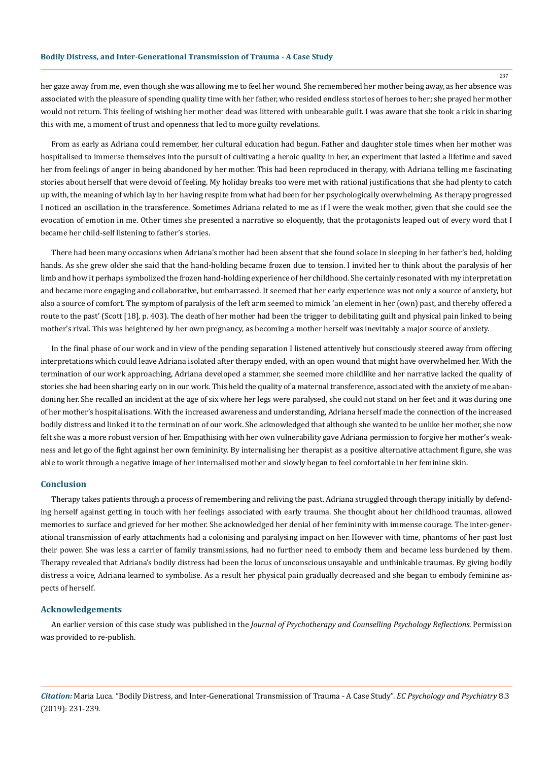her gaze away from me, even though she was allowing me to feel her wound. She remembered her mother being away, as her absence was associated with the pleasure of spending quality time with her father, who resided endless stories of heroes to her; she prayed her mother would not return. This feeling of wishing her mother dead was littered with unbearable guilt. I was aware that she took a risk in sharing this with me, a moment of trust and openness that led to more guilty revelations.

From as early as Adriana could remember, her cultural education had begun. Father and daughter stole times when her mother was hospitalised to immerse themselves into the pursuit of cultivating a heroic quality in her, an experiment that lasted a lifetime and saved her from feelings of anger in being abandoned by her mother. This had been reproduced in therapy, with Adriana telling me fascinating stories about herself that were devoid of feeling. My holiday breaks too were met with rational justifications that she had plenty to catch up with, the meaning of which lay in her having respite from what had been for her psychologically overwhelming. As therapy progressed I noticed an oscillation in the transference. Sometimes Adriana related to me as if I were the weak mother, given that she could see the evocation of emotion in me. Other times she presented a narrative so eloquently, that the protagonists leaped out of every word that I became her child-self listening to father's stories.

There had been many occasions when Adriana's mother had been absent that she found solace in sleeping in her father's bed, holding hands. As she grew older she said that the hand-holding became frozen due to tension. I invited her to think about the paralysis of her limb and how it perhaps symbolized the frozen hand-holding experience of her childhood. She certainly resonated with my interpretation and became more engaging and collaborative, but embarrassed. It seemed that her early experience was not only a source of anxiety, but also a source of comfort. The symptom of paralysis of the left arm seemed to mimick 'an element in her (own) past, and thereby offered a route to the past' (Scott [18], p. 403). The death of her mother had been the trigger to debilitating guilt and physical pain linked to being mother's rival. This was heightened by her own pregnancy, as becoming a mother herself was inevitably a major source of anxiety.

In the final phase of our work and in view of the pending separation I listened attentively but consciously steered away from offering interpretations which could leave Adriana isolated after therapy ended, with an open wound that might have overwhelmed her. With the termination of our work approaching, Adriana developed a stammer, she seemed more childlike and her narrative lacked the quality of stories she had been sharing early on in our work. This held the quality of a maternal transference, associated with the anxiety of me abandoning her. She recalled an incident at the age of six where her legs were paralysed, she could not stand on her feet and it was during one of her mother's hospitalisations. With the increased awareness and understanding, Adriana herself made the connection of the increased bodily distress and linked it to the termination of our work. She acknowledged that although she wanted to be unlike her mother, she now felt she was a more robust version of her. Empathising with her own vulnerability gave Adriana permission to forgive her mother's weakness and let go of the fight against her own femininity. By internalising her therapist as a positive alternative attachment figure, she was able to work through a negative image of her internalised mother and slowly began to feel comfortable in her feminine skin.

#### **Conclusion**

Therapy takes patients through a process of remembering and reliving the past. Adriana struggled through therapy initially by defending herself against getting in touch with her feelings associated with early trauma. She thought about her childhood traumas, allowed memories to surface and grieved for her mother. She acknowledged her denial of her femininity with immense courage. The inter-generational transmission of early attachments had a colonising and paralysing impact on her. However with time, phantoms of her past lost their power. She was less a carrier of family transmissions, had no further need to embody them and became less burdened by them. Therapy revealed that Adriana's bodily distress had been the locus of unconscious unsayable and unthinkable traumas. By giving bodily distress a voice, Adriana learned to symbolise. As a result her physical pain gradually decreased and she began to embody feminine aspects of herself.

#### **Acknowledgements**

An earlier version of this case study was published in the *Journal of Psychotherapy and Counselling Psychology Reflections*. Permission was provided to re-publish.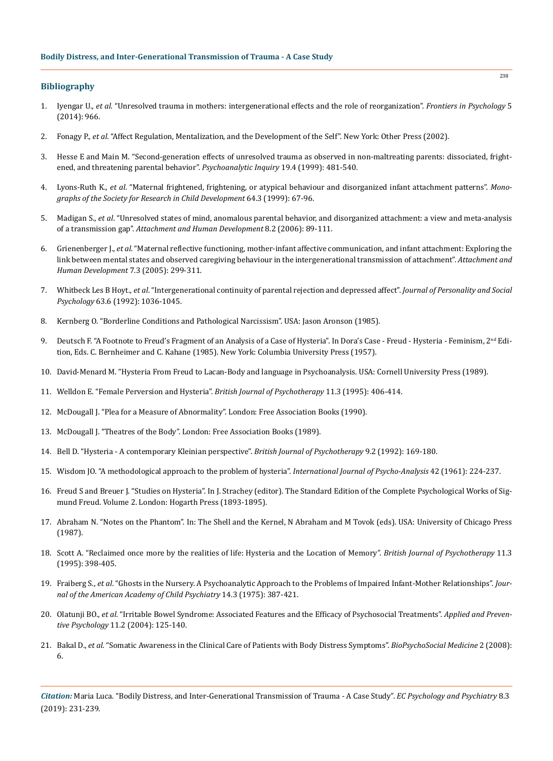## **Bibliography**

- 1. Iyengar U., *et al*[. "Unresolved trauma in mothers: intergenerational effects and the role of reorganization".](https://www.ncbi.nlm.nih.gov/pubmed/25225490) *Frontiers in Psychology* 5 [\(2014\): 966.](https://www.ncbi.nlm.nih.gov/pubmed/25225490)
- 2. Fonagy P., *et al*. "Affect Regulation, Mentalization, and the Development of the Self". New York: Other Press (2002).
- 3. [Hesse E and Main M. "Second-generation effects of unresolved trauma as observed in non-maltreating parents: dissociated, fright](https://www.tandfonline.com/doi/abs/10.1080/07351699909534265)[ened, and threatening parental behavior".](https://www.tandfonline.com/doi/abs/10.1080/07351699909534265) *Psychoanalytic Inquiry* 19.4 (1999): 481-540.
- 4. Lyons-Ruth K., *et al*[. "Maternal frightened, frightening, or atypical behaviour and disorganized infant attachment patterns".](https://onlinelibrary.wiley.com/doi/abs/10.1111/1540-5834.00034) *Mono[graphs of the Society for Research in Child Development](https://onlinelibrary.wiley.com/doi/abs/10.1111/1540-5834.00034)* 64.3 (1999): 67-96.
- 5. Madigan S., *et al*[. "Unresolved states of mind, anomalous parental behavior, and disorganized attachment: a view and meta-analysis](https://www.ncbi.nlm.nih.gov/pubmed/16818417)  of a transmission gap". *[Attachment and Human Development](https://www.ncbi.nlm.nih.gov/pubmed/16818417)* 8.2 (2006): 89-111.
- 6. Grienenberger J., *et al*[. "Maternal reflective functioning, mother-infant affective communication, and infant attachment: Exploring the](https://www.ncbi.nlm.nih.gov/pubmed/16210241)  [link between mental states and observed caregiving behaviour in the intergenerational transmission of attachment".](https://www.ncbi.nlm.nih.gov/pubmed/16210241) Attachment and *[Human Development](https://www.ncbi.nlm.nih.gov/pubmed/16210241)* 7.3 (2005): 299-311.
- 7. Whitbeck Les B Hoyt., *et al*[. "Intergenerational continuity of parental rejection and depressed affect".](https://www.ncbi.nlm.nih.gov/pubmed/1460556) *Journal of Personality and Social Psychology* [63.6 \(1992\): 1036-1045.](https://www.ncbi.nlm.nih.gov/pubmed/1460556)
- 8. Kernberg O. "Borderline Conditions and Pathological Narcissism". USA: Jason Aronson (1985).
- 9. Deutsch F. "A Footnote to Freud's Fragment of an Analysis of a Case of Hysteria". In Dora's Case Freud Hysteria Feminism,  $2<sup>nd</sup>$  Edition, Eds. C. Bernheimer and C. Kahane (1985). New York: Columbia University Press (1957).
- 10. David-Menard M. "Hysteria From Freud to Lacan-Body and language in Psychoanalysis. USA: Cornell University Press (1989).
- 11. [Welldon E. "Female Perversion and Hysteria".](https://onlinelibrary.wiley.com/doi/pdf/10.1111/j.1752-0118.1995.tb00747.x) *British Journal of Psychotherapy* 11.3 (1995): 406-414.
- 12. McDougall J. "Plea for a Measure of Abnormality". London: Free Association Books (1990).
- 13. McDougall J. "Theatres of the Body". London: Free Association Books (1989).
- 14. [Bell D. "Hysteria A contemporary Kleinian perspective".](https://psycnet.apa.org/record/1993-29533-001) *British Journal of Psychotherapy* 9.2 (1992): 169-180.
- 15. [Wisdom JO. "A methodological approach to the problem of hysteria".](https://www.ncbi.nlm.nih.gov/pubmed/13785986) *International Journal of Psycho-Analysis* 42 (1961): 224-237.
- 16. Freud S and Breuer J. "Studies on Hysteria". In J. Strachey (editor). The Standard Edition of the Complete Psychological Works of Sigmund Freud. Volume 2. London: Hogarth Press (1893-1895).
- 17. Abraham N. "Notes on the Phantom". In: The Shell and the Kernel, N Abraham and M Tovok (eds). USA: University of Chicago Press (1987).
- 18. [Scott A. "Reclaimed once more by the realities of life: Hysteria and the Location of Memory".](https://psycnet.apa.org/record/1995-40635-001) *British Journal of Psychotherapy* 11.3 [\(1995\): 398-405.](https://psycnet.apa.org/record/1995-40635-001)
- 19. Fraiberg S., *et al*[. "Ghosts in the Nursery. A Psychoanalytic Approach to the Problems of Impaired Infant-Mother Relationships".](https://www.ncbi.nlm.nih.gov/pubmed/1141566) *Jour[nal of the American Academy of Child Psychiatry](https://www.ncbi.nlm.nih.gov/pubmed/1141566)* 14.3 (1975): 387-421.
- 20. Olatunji BO., *et al*[. "Irritable Bowel Syndrome: Associated Features and the Efficacy of Psychosocial Treatments".](https://www.sciencedirect.com/science/article/pii/S0962184904000319) *Applied and Preventive Psychology* [11.2 \(2004\): 125-140.](https://www.sciencedirect.com/science/article/pii/S0962184904000319)
- 21. Bakal D., *et al*[. "Somatic Awareness in the Clinical Care of Patients with Body Distress Symptoms".](https://www.ncbi.nlm.nih.gov/pubmed/18291028) *BioPsychoSocial Medicine* 2 (2008): [6.](https://www.ncbi.nlm.nih.gov/pubmed/18291028)

*Citation:* Maria Luca*.* "Bodily Distress, and Inter-Generational Transmission of Trauma - A Case Study". *EC Psychology and Psychiatry* 8.3 (2019): 231-239.